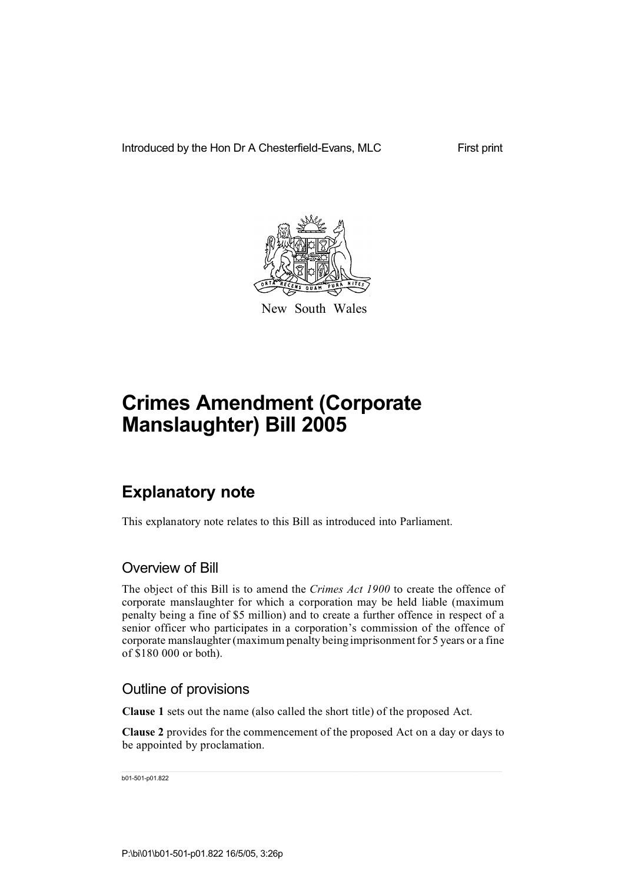Introduced by the Hon Dr A Chesterfield-Evans, MLC

First print



New South Wales

# **Crimes Amendment (Corporate Manslaughter) Bill 2005**

## **Explanatory note**

This explanatory note relates to this Bill as introduced into Parliament.

### Overview of Bill

The object of this Bill is to amend the *Crimes Act 1900* to create the offence of corporate manslaughter for which a corporation may be held liable (maximum penalty being a fine of \$5 million) and to create a further offence in respect of a senior officer who participates in a corporation's commission of the offence of corporate manslaughter (maximum penalty being imprisonment for 5 years or a fine of \$180 000 or both).

### Outline of provisions

**Clause 1** sets out the name (also called the short title) of the proposed Act.

**Clause 2** provides for the commencement of the proposed Act on a day or days to be appointed by proclamation.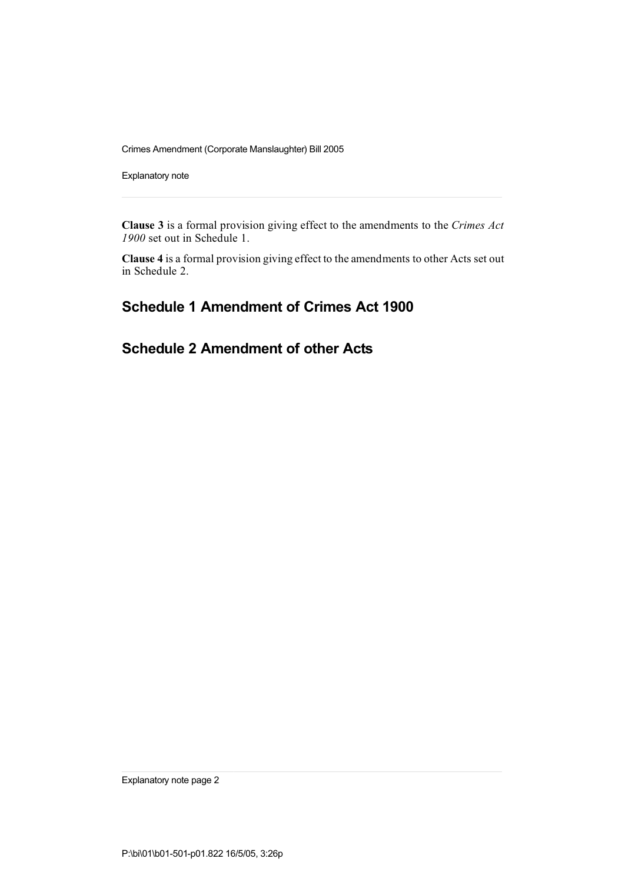Explanatory note

**Clause 3** is a formal provision giving effect to the amendments to the *Crimes Act 1900* set out in Schedule 1.

**Clause 4** is a formal provision giving effect to the amendments to other Acts set out in Schedule 2.

## **Schedule 1 Amendment of Crimes Act 1900**

## **Schedule 2 Amendment of other Acts**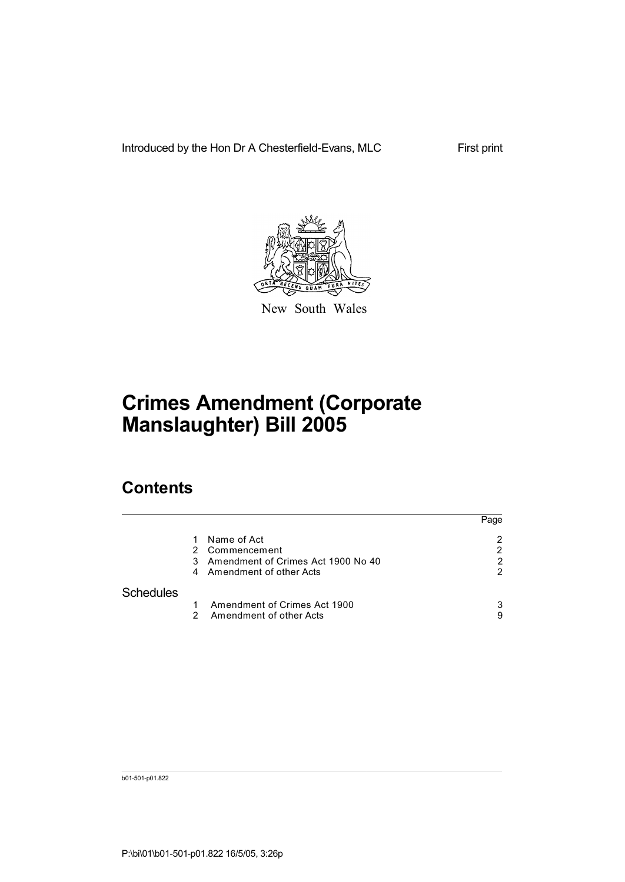Introduced by the Hon Dr A Chesterfield-Evans, MLC

First print



New South Wales

# **Crimes Amendment (Corporate Manslaughter) Bill 2005**

## **Contents**

|                  |        |                                                                                                | Page   |
|------------------|--------|------------------------------------------------------------------------------------------------|--------|
|                  | 3<br>4 | Name of Act<br>2 Commencement<br>Amendment of Crimes Act 1900 No 40<br>Amendment of other Acts | 2<br>2 |
| <b>Schedules</b> |        |                                                                                                |        |
|                  | 2      | Amendment of Crimes Act 1900<br>Amendment of other Acts                                        | 3<br>9 |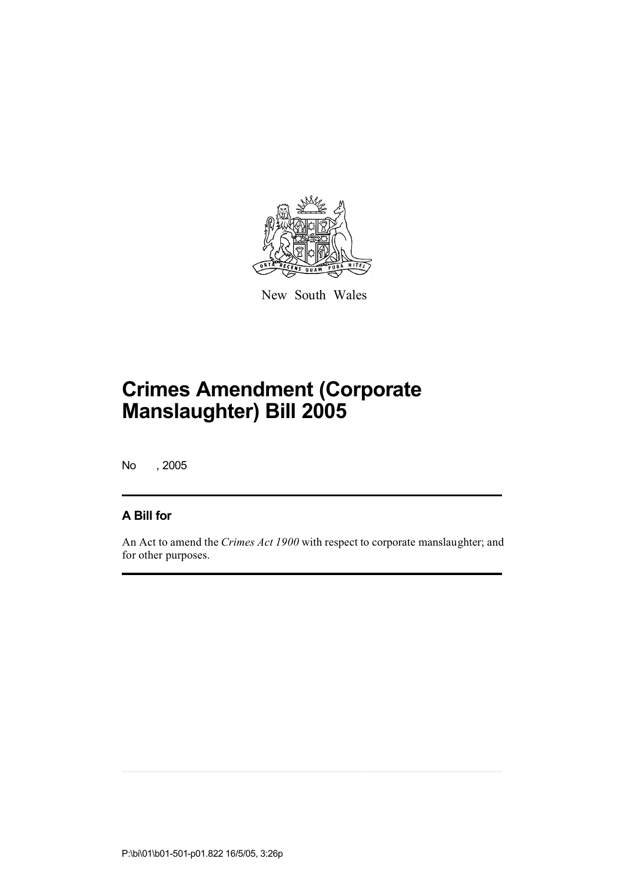

New South Wales

No , 2005

### **A Bill for**

An Act to amend the *Crimes Act 1900* with respect to corporate manslaughter; and for other purposes.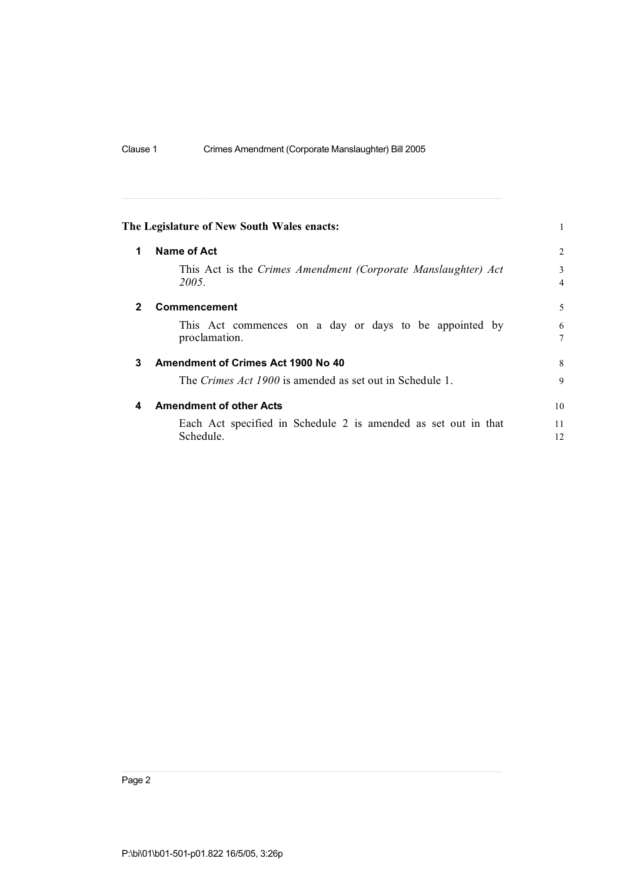|              | The Legislature of New South Wales enacts:                                  |                     |  |
|--------------|-----------------------------------------------------------------------------|---------------------|--|
| 1            | Name of Act                                                                 | $\overline{2}$      |  |
|              | This Act is the Crimes Amendment (Corporate Manslaughter) Act<br>2005.      | 3<br>$\overline{4}$ |  |
| $\mathbf{2}$ | <b>Commencement</b>                                                         | 5                   |  |
|              | This Act commences on a day or days to be appointed by<br>proclamation.     | 6<br>7              |  |
| 3            | Amendment of Crimes Act 1900 No 40                                          | 8                   |  |
|              | The Crimes Act 1900 is amended as set out in Schedule 1.                    | 9                   |  |
| 4            | <b>Amendment of other Acts</b>                                              | 10                  |  |
|              | Each Act specified in Schedule 2 is amended as set out in that<br>Schedule. | 11<br>12            |  |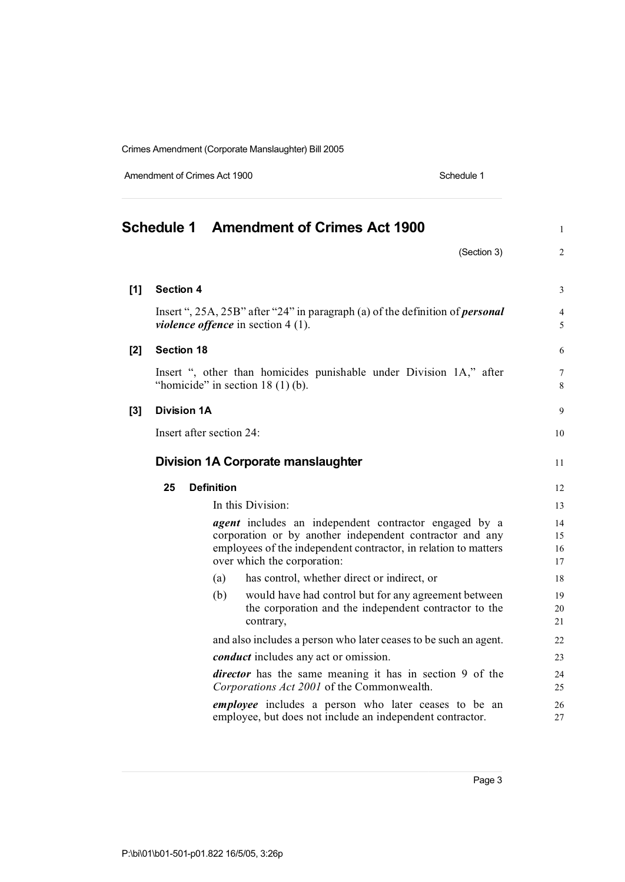Amendment of Crimes Act 1900 Schedule 1

|       | Schedule 1 Amendment of Crimes Act 1900                                                                                                                                                                                    | $\mathbf{1}$         |
|-------|----------------------------------------------------------------------------------------------------------------------------------------------------------------------------------------------------------------------------|----------------------|
|       | (Section 3)                                                                                                                                                                                                                | $\overline{2}$       |
| $[1]$ | <b>Section 4</b>                                                                                                                                                                                                           | 3                    |
|       | Insert ", $25A$ , $25B$ " after "24" in paragraph (a) of the definition of <i>personal</i><br><i>violence offence</i> in section $4(1)$ .                                                                                  | 4<br>5               |
| $[2]$ | <b>Section 18</b>                                                                                                                                                                                                          | 6                    |
|       | Insert ", other than homicides punishable under Division 1A," after<br>"homicide" in section $18(1)(b)$ .                                                                                                                  | 7<br>8               |
| $[3]$ | <b>Division 1A</b>                                                                                                                                                                                                         | 9                    |
|       | Insert after section 24:                                                                                                                                                                                                   | 10                   |
|       | Division 1A Corporate manslaughter                                                                                                                                                                                         | 11                   |
|       | 25<br><b>Definition</b>                                                                                                                                                                                                    | 12                   |
|       | In this Division:                                                                                                                                                                                                          | 13                   |
|       | <i>agent</i> includes an independent contractor engaged by a<br>corporation or by another independent contractor and any<br>employees of the independent contractor, in relation to matters<br>over which the corporation: | 14<br>15<br>16<br>17 |
|       | has control, whether direct or indirect, or<br>(a)                                                                                                                                                                         | 18                   |
|       | (b)<br>would have had control but for any agreement between<br>the corporation and the independent contractor to the<br>contrary,                                                                                          | 19<br>20<br>21       |
|       | and also includes a person who later ceases to be such an agent.                                                                                                                                                           | 22                   |
|       | <i>conduct</i> includes any act or omission.                                                                                                                                                                               | 23                   |
|       | <i>director</i> has the same meaning it has in section 9 of the<br>Corporations Act 2001 of the Commonwealth.                                                                                                              | 24<br>25             |
|       | employee includes a person who later ceases to be an<br>employee, but does not include an independent contractor.                                                                                                          | 26<br>27             |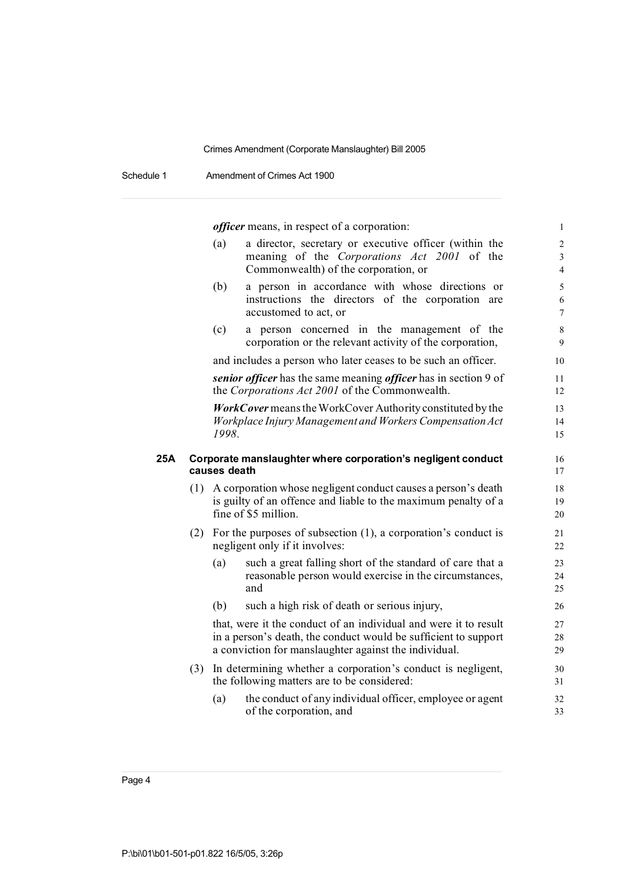Schedule 1 Amendment of Crimes Act 1900

*officer* means, in respect of a corporation: 1

|     |     | (a)          | a director, secretary or executive officer (within the<br>meaning of the Corporations Act 2001 of the<br>Commonwealth) of the corporation, or                                                | $\overline{2}$<br>$\overline{\mathbf{3}}$<br>$\overline{4}$ |
|-----|-----|--------------|----------------------------------------------------------------------------------------------------------------------------------------------------------------------------------------------|-------------------------------------------------------------|
|     |     | (b)          | a person in accordance with whose directions or<br>instructions the directors of the corporation are<br>accustomed to act, or                                                                | 5<br>$\sqrt{6}$<br>$\overline{7}$                           |
|     |     | (c)          | a person concerned in the management of the<br>corporation or the relevant activity of the corporation,                                                                                      | $\,8\,$<br>9                                                |
|     |     |              | and includes a person who later ceases to be such an officer.                                                                                                                                | 10                                                          |
|     |     |              | senior officer has the same meaning officer has in section 9 of<br>the Corporations Act 2001 of the Commonwealth.                                                                            | 11<br>12                                                    |
|     |     | 1998.        | <b>WorkCover</b> means the WorkCover Authority constituted by the<br>Workplace Injury Management and Workers Compensation Act                                                                | 13<br>14<br>15                                              |
| 25A |     | causes death | Corporate manslaughter where corporation's negligent conduct                                                                                                                                 | 16<br>17                                                    |
|     |     |              | (1) A corporation whose negligent conduct causes a person's death<br>is guilty of an offence and liable to the maximum penalty of a<br>fine of \$5 million.                                  | 18<br>19<br>20                                              |
|     |     |              | (2) For the purposes of subsection $(1)$ , a corporation's conduct is<br>negligent only if it involves:                                                                                      | 21<br>22                                                    |
|     |     | (a)          | such a great falling short of the standard of care that a<br>reasonable person would exercise in the circumstances,<br>and                                                                   | 23<br>24<br>25                                              |
|     |     | (b)          | such a high risk of death or serious injury,                                                                                                                                                 | 26                                                          |
|     |     |              | that, were it the conduct of an individual and were it to result<br>in a person's death, the conduct would be sufficient to support<br>a conviction for manslaughter against the individual. | 27<br>28<br>29                                              |
|     | (3) |              | In determining whether a corporation's conduct is negligent,<br>the following matters are to be considered:                                                                                  | 30<br>31                                                    |
|     |     | (a)          | the conduct of any individual officer, employee or agent<br>of the corporation, and                                                                                                          | 32<br>33                                                    |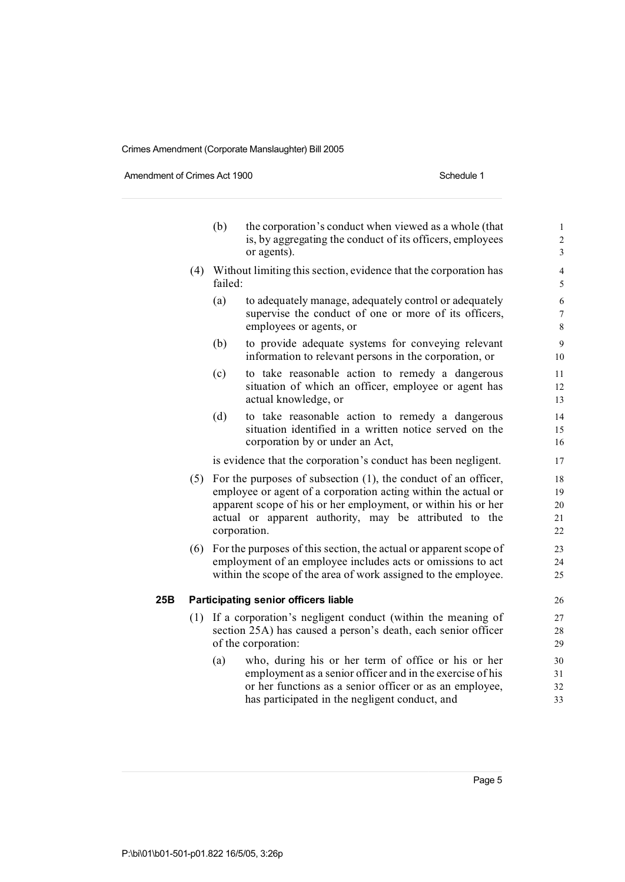Amendment of Crimes Act 1900 Schedule 1

|     |     | (b)     | the corporation's conduct when viewed as a whole (that<br>is, by aggregating the conduct of its officers, employees<br>or agents).                                                                                                                                              | $\mathbf 1$<br>$\overline{\mathbf{c}}$<br>3 |
|-----|-----|---------|---------------------------------------------------------------------------------------------------------------------------------------------------------------------------------------------------------------------------------------------------------------------------------|---------------------------------------------|
|     | (4) | failed: | Without limiting this section, evidence that the corporation has                                                                                                                                                                                                                | $\overline{4}$<br>5                         |
|     |     | (a)     | to adequately manage, adequately control or adequately<br>supervise the conduct of one or more of its officers,<br>employees or agents, or                                                                                                                                      | 6<br>$\overline{7}$<br>8                    |
|     |     | (b)     | to provide adequate systems for conveying relevant<br>information to relevant persons in the corporation, or                                                                                                                                                                    | 9<br>10                                     |
|     |     | (c)     | to take reasonable action to remedy a dangerous<br>situation of which an officer, employee or agent has<br>actual knowledge, or                                                                                                                                                 | 11<br>12<br>13                              |
|     |     | (d)     | to take reasonable action to remedy a dangerous<br>situation identified in a written notice served on the<br>corporation by or under an Act,                                                                                                                                    | 14<br>15<br>16                              |
|     |     |         | is evidence that the corporation's conduct has been negligent.                                                                                                                                                                                                                  | 17                                          |
|     |     |         | (5) For the purposes of subsection (1), the conduct of an officer,<br>employee or agent of a corporation acting within the actual or<br>apparent scope of his or her employment, or within his or her<br>actual or apparent authority, may be attributed to the<br>corporation. | 18<br>19<br>20<br>21<br>22                  |
|     | (6) |         | For the purposes of this section, the actual or apparent scope of<br>employment of an employee includes acts or omissions to act<br>within the scope of the area of work assigned to the employee.                                                                              | 23<br>24<br>25                              |
| 25B |     |         | <b>Participating senior officers liable</b>                                                                                                                                                                                                                                     | 26                                          |
|     | (1) |         | If a corporation's negligent conduct (within the meaning of<br>section 25A) has caused a person's death, each senior officer<br>of the corporation:                                                                                                                             | 27<br>28<br>29                              |
|     |     | (a)     | who, during his or her term of office or his or her<br>employment as a senior officer and in the exercise of his<br>or her functions as a senior officer or as an employee,<br>has participated in the negligent conduct, and                                                   | 30<br>31<br>32<br>33                        |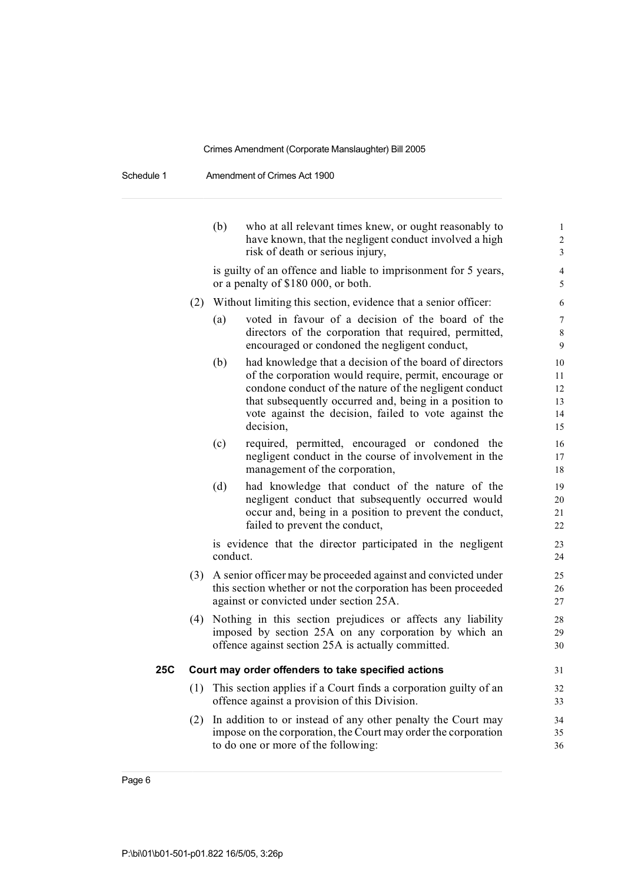Schedule 1 Amendment of Crimes Act 1900

|     |     | (b)      | who at all relevant times knew, or ought reasonably to<br>have known, that the negligent conduct involved a high<br>risk of death or serious injury,                                                                                                                                                        | $\mathbf{1}$<br>$\overline{2}$<br>$\mathfrak{Z}$ |
|-----|-----|----------|-------------------------------------------------------------------------------------------------------------------------------------------------------------------------------------------------------------------------------------------------------------------------------------------------------------|--------------------------------------------------|
|     |     |          | is guilty of an offence and liable to imprisonment for 5 years,<br>or a penalty of \$180 000, or both.                                                                                                                                                                                                      | $\overline{4}$<br>5                              |
|     | (2) |          | Without limiting this section, evidence that a senior officer:                                                                                                                                                                                                                                              | 6                                                |
|     |     | (a)      | voted in favour of a decision of the board of the<br>directors of the corporation that required, permitted,<br>encouraged or condoned the negligent conduct,                                                                                                                                                | $\overline{7}$<br>$\,8\,$<br>9                   |
|     |     | (b)      | had knowledge that a decision of the board of directors<br>of the corporation would require, permit, encourage or<br>condone conduct of the nature of the negligent conduct<br>that subsequently occurred and, being in a position to<br>vote against the decision, failed to vote against the<br>decision, | 10<br>11<br>12<br>13<br>14<br>15                 |
|     |     | (c)      | required, permitted, encouraged or condoned the<br>negligent conduct in the course of involvement in the<br>management of the corporation,                                                                                                                                                                  | 16<br>17<br>18                                   |
|     |     | (d)      | had knowledge that conduct of the nature of the<br>negligent conduct that subsequently occurred would<br>occur and, being in a position to prevent the conduct,<br>failed to prevent the conduct,                                                                                                           | 19<br>20<br>21<br>22                             |
|     |     | conduct. | is evidence that the director participated in the negligent                                                                                                                                                                                                                                                 | 23<br>24                                         |
|     | (3) |          | A senior officer may be proceeded against and convicted under<br>this section whether or not the corporation has been proceeded<br>against or convicted under section 25A.                                                                                                                                  | 25<br>26<br>27                                   |
|     | (4) |          | Nothing in this section prejudices or affects any liability<br>imposed by section 25A on any corporation by which an<br>offence against section 25A is actually committed.                                                                                                                                  | 28<br>29<br>30                                   |
| 25C |     |          | Court may order offenders to take specified actions                                                                                                                                                                                                                                                         | 31                                               |
|     |     |          | (1) This section applies if a Court finds a corporation guilty of an<br>offence against a provision of this Division.                                                                                                                                                                                       | 32<br>33                                         |
|     | (2) |          | In addition to or instead of any other penalty the Court may<br>impose on the corporation, the Court may order the corporation<br>to do one or more of the following:                                                                                                                                       | 34<br>35<br>36                                   |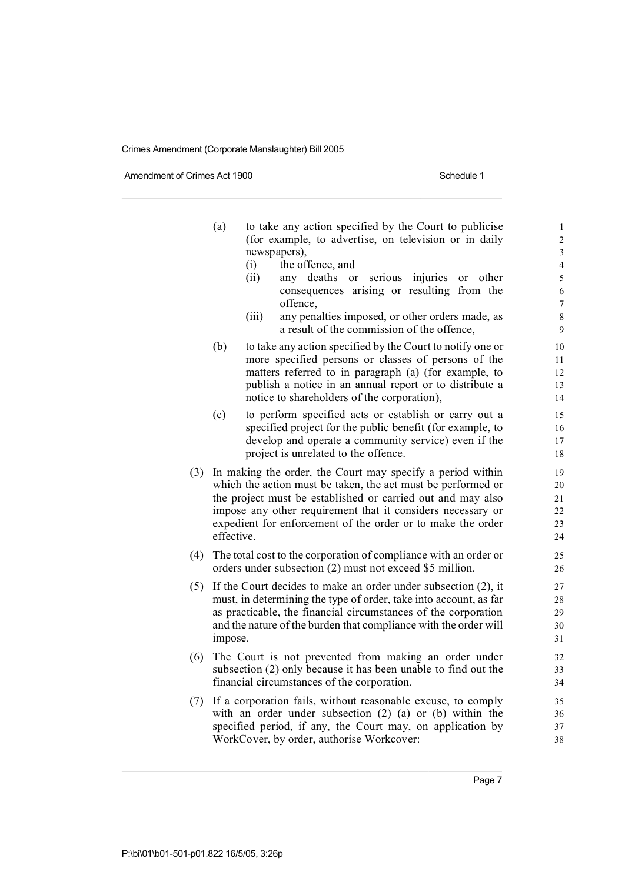Amendment of Crimes Act 1900 Schedule 1

|     | (a)        | to take any action specified by the Court to publicise<br>(for example, to advertise, on television or in daily<br>newspapers),<br>the offence, and<br>(i)<br>(ii)<br>any deaths<br>serious<br>injuries<br>other<br>or<br>or<br>consequences arising or resulting from the                                              | $\mathbf{1}$<br>$\overline{c}$<br>3<br>$\overline{4}$<br>5<br>6 |
|-----|------------|-------------------------------------------------------------------------------------------------------------------------------------------------------------------------------------------------------------------------------------------------------------------------------------------------------------------------|-----------------------------------------------------------------|
|     |            | offence,<br>any penalties imposed, or other orders made, as<br>(iii)<br>a result of the commission of the offence,                                                                                                                                                                                                      | $\overline{7}$<br>8<br>9                                        |
|     | (b)        | to take any action specified by the Court to notify one or<br>more specified persons or classes of persons of the<br>matters referred to in paragraph (a) (for example, to<br>publish a notice in an annual report or to distribute a<br>notice to shareholders of the corporation),                                    | 10<br>11<br>12<br>13<br>14                                      |
|     | (c)        | to perform specified acts or establish or carry out a<br>specified project for the public benefit (for example, to<br>develop and operate a community service) even if the<br>project is unrelated to the offence.                                                                                                      | 15<br>16<br>17<br>18                                            |
| (3) | effective. | In making the order, the Court may specify a period within<br>which the action must be taken, the act must be performed or<br>the project must be established or carried out and may also<br>impose any other requirement that it considers necessary or<br>expedient for enforcement of the order or to make the order | 19<br>20<br>21<br>22<br>23<br>24                                |
| (4) |            | The total cost to the corporation of compliance with an order or<br>orders under subsection (2) must not exceed \$5 million.                                                                                                                                                                                            | 25<br>26                                                        |
| (5) | impose.    | If the Court decides to make an order under subsection (2), it<br>must, in determining the type of order, take into account, as far<br>as practicable, the financial circumstances of the corporation<br>and the nature of the burden that compliance with the order will                                               | 27<br>28<br>29<br>30<br>31                                      |
| (6) |            | The Court is not prevented from making an order under<br>subsection (2) only because it has been unable to find out the<br>financial circumstances of the corporation.                                                                                                                                                  | 32<br>33<br>34                                                  |
| (7) |            | If a corporation fails, without reasonable excuse, to comply<br>with an order under subsection $(2)$ $(a)$ or $(b)$ within the<br>specified period, if any, the Court may, on application by<br>WorkCover, by order, authorise Workcover:                                                                               | 35<br>36<br>37<br>38                                            |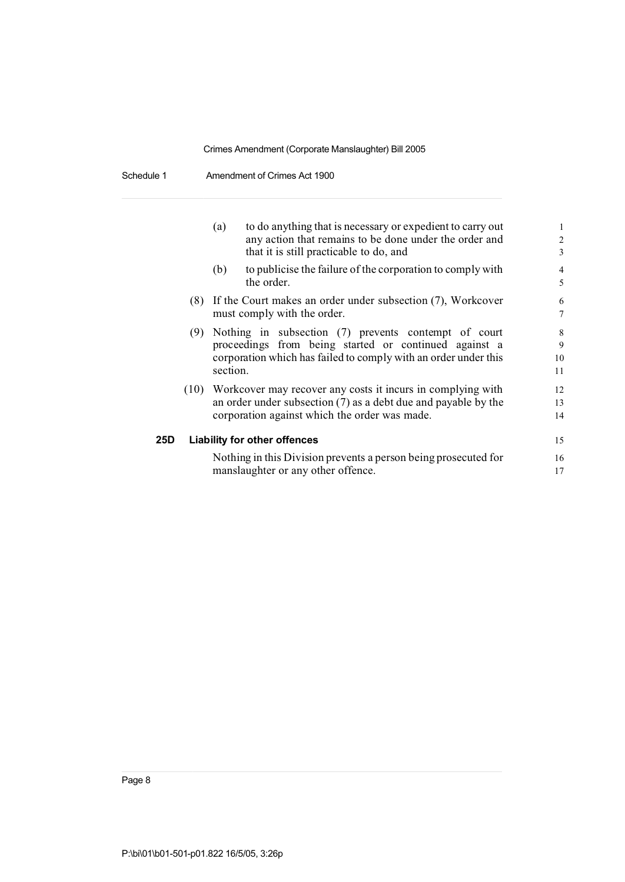Schedule 1 Amendment of Crimes Act 1900

|     | (a)      | to do anything that is necessary or expedient to carry out<br>any action that remains to be done under the order and | $\mathbf{1}$<br>$\overline{2}$ |
|-----|----------|----------------------------------------------------------------------------------------------------------------------|--------------------------------|
|     |          | that it is still practicable to do, and                                                                              | 3                              |
|     | (b)      | to publicise the failure of the corporation to comply with<br>the order.                                             | $\overline{4}$<br>5            |
|     |          |                                                                                                                      |                                |
|     |          | (8) If the Court makes an order under subsection (7), Workcover                                                      | 6                              |
|     |          | must comply with the order.                                                                                          | $\overline{7}$                 |
|     |          | (9) Nothing in subsection (7) prevents contempt of court                                                             | 8                              |
|     |          | proceedings from being started or continued against a                                                                | $\mathbf Q$                    |
|     |          | corporation which has failed to comply with an order under this                                                      | 10                             |
|     | section. |                                                                                                                      | 11                             |
|     |          | (10) Workcover may recover any costs it incurs in complying with                                                     | 12                             |
|     |          | an order under subsection $(7)$ as a debt due and payable by the                                                     | 13                             |
|     |          | corporation against which the order was made.                                                                        | 14                             |
| 25D |          | <b>Liability for other offences</b>                                                                                  | 15                             |
|     |          | Nothing in this Division prevents a person being prosecuted for<br>manslaughter or any other offence.                | 16<br>17                       |
|     |          |                                                                                                                      |                                |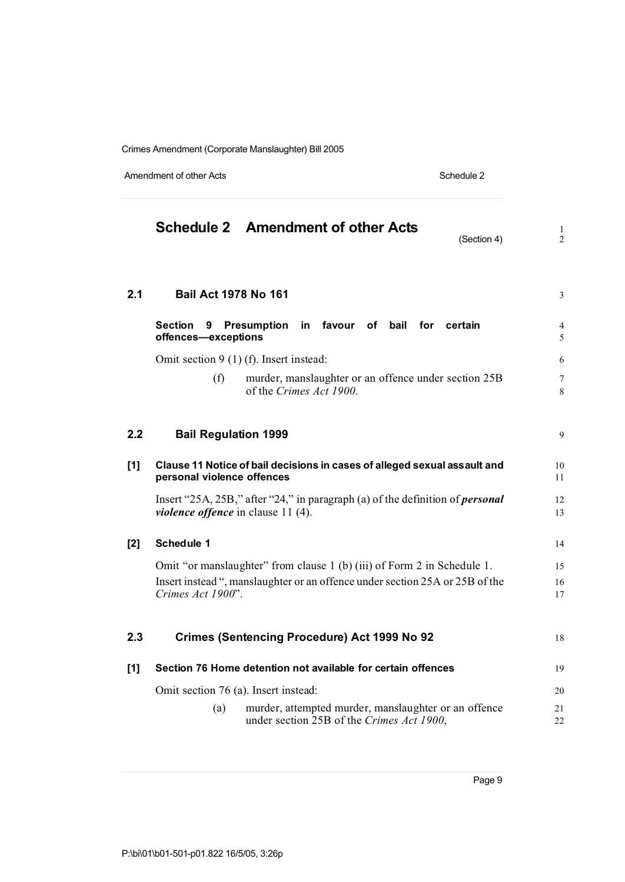Amendment of other Acts Schedule 2

|       | <b>Schedule 2 Amendment of other Acts</b><br>(Section 4)                                                                          | $\mathbf{1}$<br>$\overline{2}$ |
|-------|-----------------------------------------------------------------------------------------------------------------------------------|--------------------------------|
| 2.1   | <b>Bail Act 1978 No 161</b>                                                                                                       | 3                              |
|       | <b>Section</b><br><b>Presumption</b><br>in favour<br>of bail<br>for certain<br>9<br>offences-exceptions                           | 4<br>5                         |
|       | Omit section $9(1)$ (f). Insert instead:                                                                                          | 6                              |
|       | (f)<br>murder, manslaughter or an offence under section 25B<br>of the Crimes Act 1900.                                            | 7<br>8                         |
| 2.2   | <b>Bail Regulation 1999</b>                                                                                                       | 9                              |
| $[1]$ | Clause 11 Notice of bail decisions in cases of alleged sexual assault and<br>personal violence offences                           | 10<br>11                       |
|       | Insert "25A, 25B," after "24," in paragraph (a) of the definition of <i>personal</i><br><i>violence offence</i> in clause 11 (4). | 12<br>13                       |
| $[2]$ | <b>Schedule 1</b>                                                                                                                 | 14                             |
|       | Omit "or manslaughter" from clause 1 (b) (iii) of Form 2 in Schedule 1.                                                           | 15                             |
|       | Insert instead ", manslaughter or an offence under section 25A or 25B of the<br>Crimes Act 1900".                                 | 16<br>17                       |
| 2.3   | <b>Crimes (Sentencing Procedure) Act 1999 No 92</b>                                                                               | 18                             |
| $[1]$ | Section 76 Home detention not available for certain offences                                                                      | 19                             |
|       | Omit section 76 (a). Insert instead:                                                                                              | 20                             |
|       | murder, attempted murder, manslaughter or an offence<br>(a)<br>under section 25B of the Crimes Act 1900,                          | 21<br>22                       |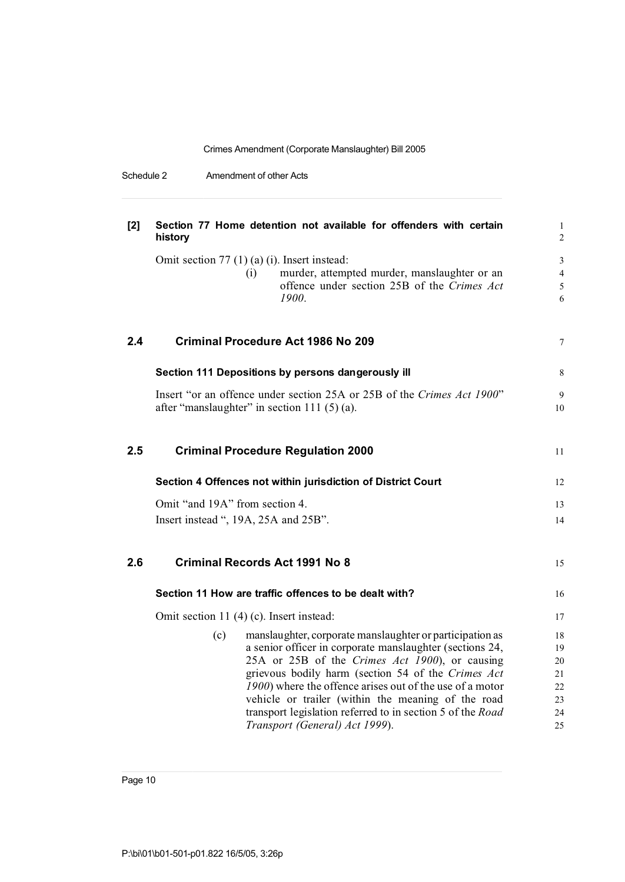Schedule 2 Amendment of other Acts

| $[2]$ | Section 77 Home detention not available for offenders with certain<br>history                                    | $\mathbf{1}$<br>2 |
|-------|------------------------------------------------------------------------------------------------------------------|-------------------|
|       | Omit section $77(1)(a)(i)$ . Insert instead:                                                                     | $\mathfrak{Z}$    |
|       | murder, attempted murder, manslaughter or an<br>(i)                                                              | $\overline{4}$    |
|       | offence under section 25B of the Crimes Act                                                                      | 5                 |
|       | 1900.                                                                                                            | 6                 |
| 2.4   | <b>Criminal Procedure Act 1986 No 209</b>                                                                        | $\tau$            |
|       | Section 111 Depositions by persons dangerously ill                                                               | 8                 |
|       | Insert "or an offence under section 25A or 25B of the Crimes Act 1900"                                           | 9                 |
|       | after "manslaughter" in section 111 (5) (a).                                                                     | 10                |
| 2.5   | <b>Criminal Procedure Regulation 2000</b>                                                                        | 11                |
|       | Section 4 Offences not within jurisdiction of District Court                                                     | 12                |
|       | Omit "and 19A" from section 4.                                                                                   | 13                |
|       | Insert instead ", 19A, 25A and 25B".                                                                             | 14                |
| 2.6   | <b>Criminal Records Act 1991 No 8</b>                                                                            | 15                |
|       | Section 11 How are traffic offences to be dealt with?                                                            | 16                |
|       | Omit section 11 (4) (c). Insert instead:                                                                         | 17                |
|       | manslaughter, corporate manslaughter or participation as<br>(c)                                                  | 18                |
|       | a senior officer in corporate manslaughter (sections 24,                                                         | 19                |
|       | 25A or 25B of the Crimes Act 1900), or causing                                                                   | 20                |
|       | grievous bodily harm (section 54 of the Crimes Act                                                               | 21                |
|       | 1900) where the offence arises out of the use of a motor                                                         | 22                |
|       | vehicle or trailer (within the meaning of the road<br>transport legislation referred to in section 5 of the Road | 23<br>24          |
|       | Transport (General) Act 1999).                                                                                   | 25                |
|       |                                                                                                                  |                   |